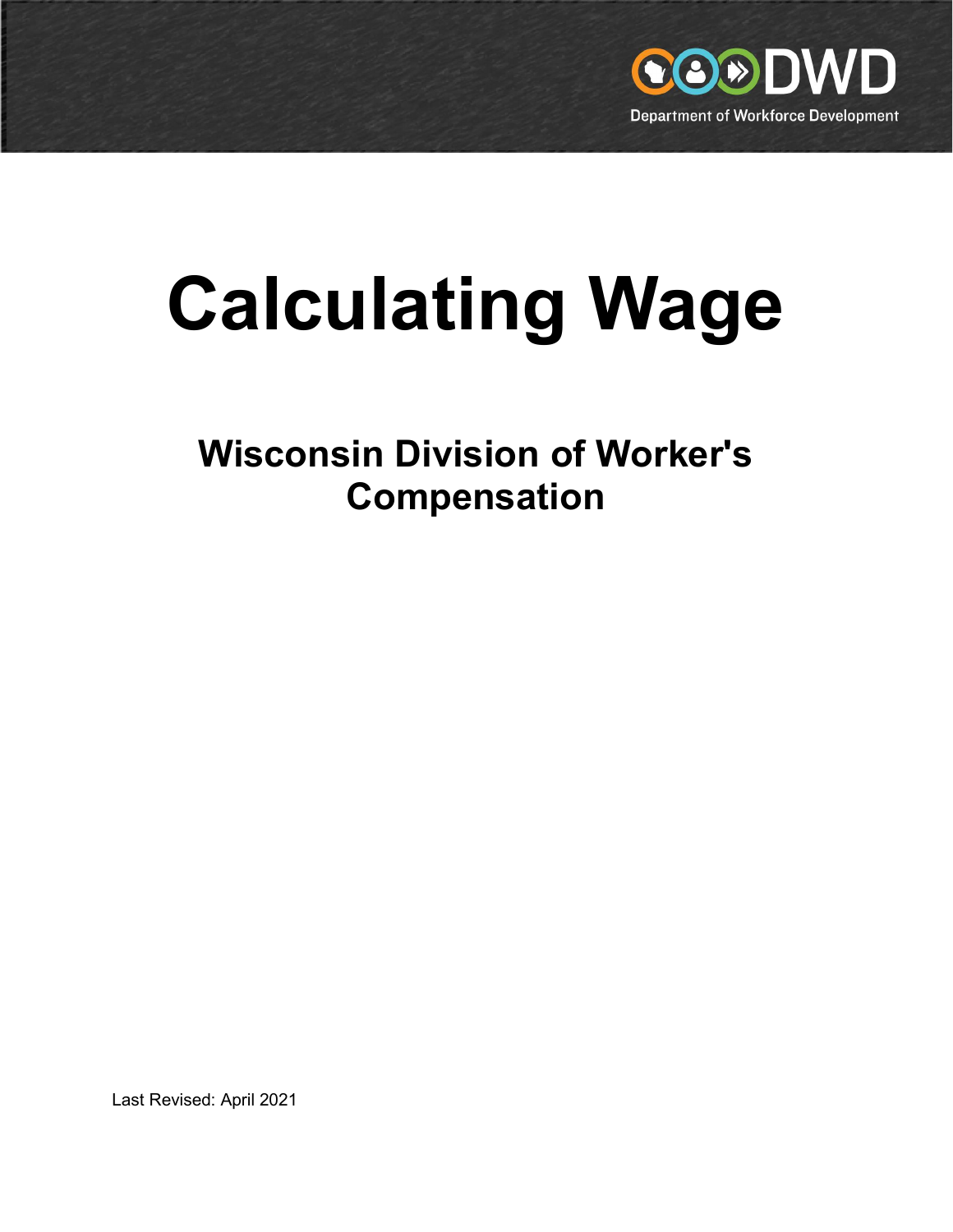

# Calculating Wage

Wisconsin Division of Worker's Compensation

Last Revised: April 2021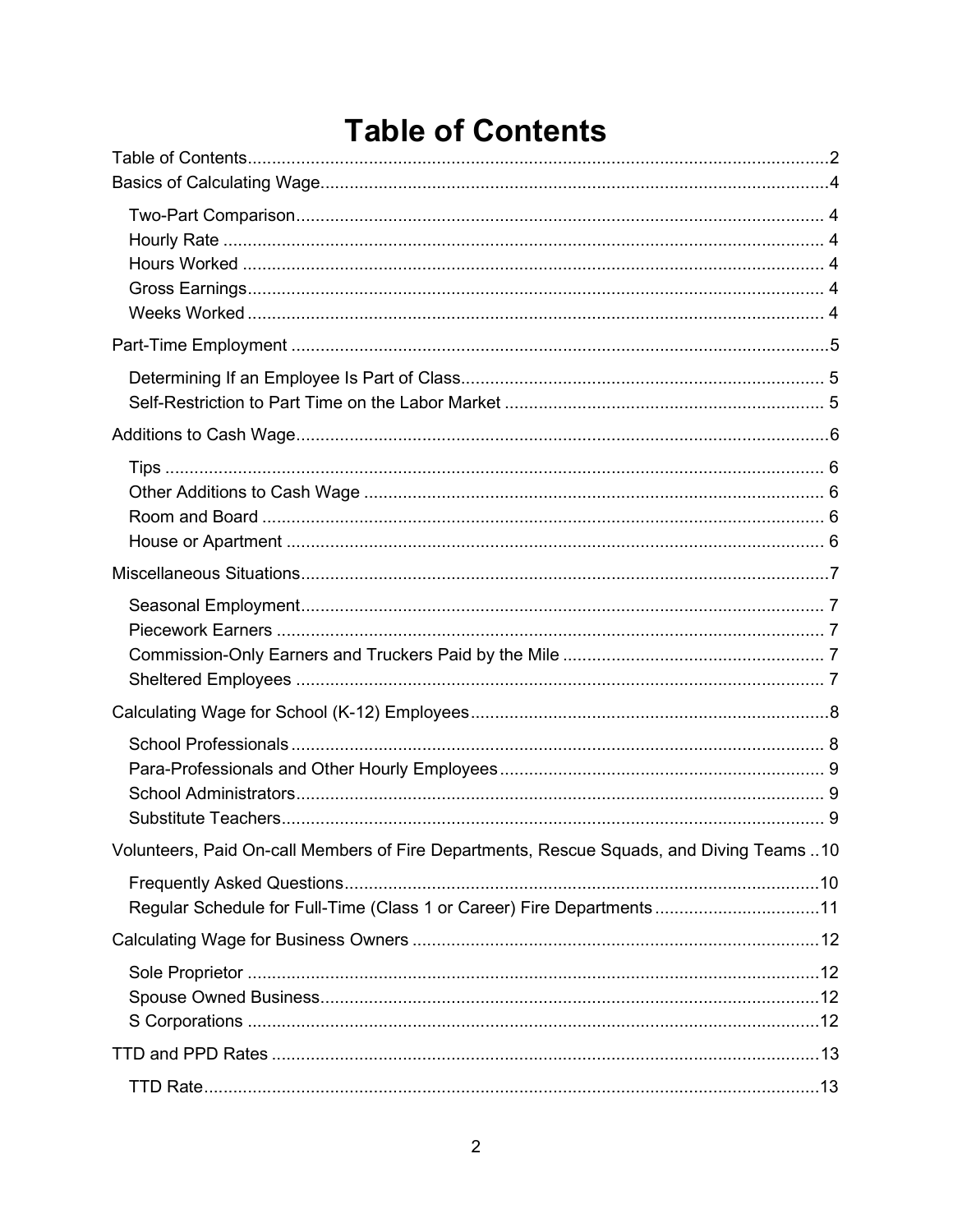### **Table of Contents**

| Volunteers, Paid On-call Members of Fire Departments, Rescue Squads, and Diving Teams  10 |  |
|-------------------------------------------------------------------------------------------|--|
| Regular Schedule for Full-Time (Class 1 or Career) Fire Departments11                     |  |
|                                                                                           |  |
|                                                                                           |  |
|                                                                                           |  |
|                                                                                           |  |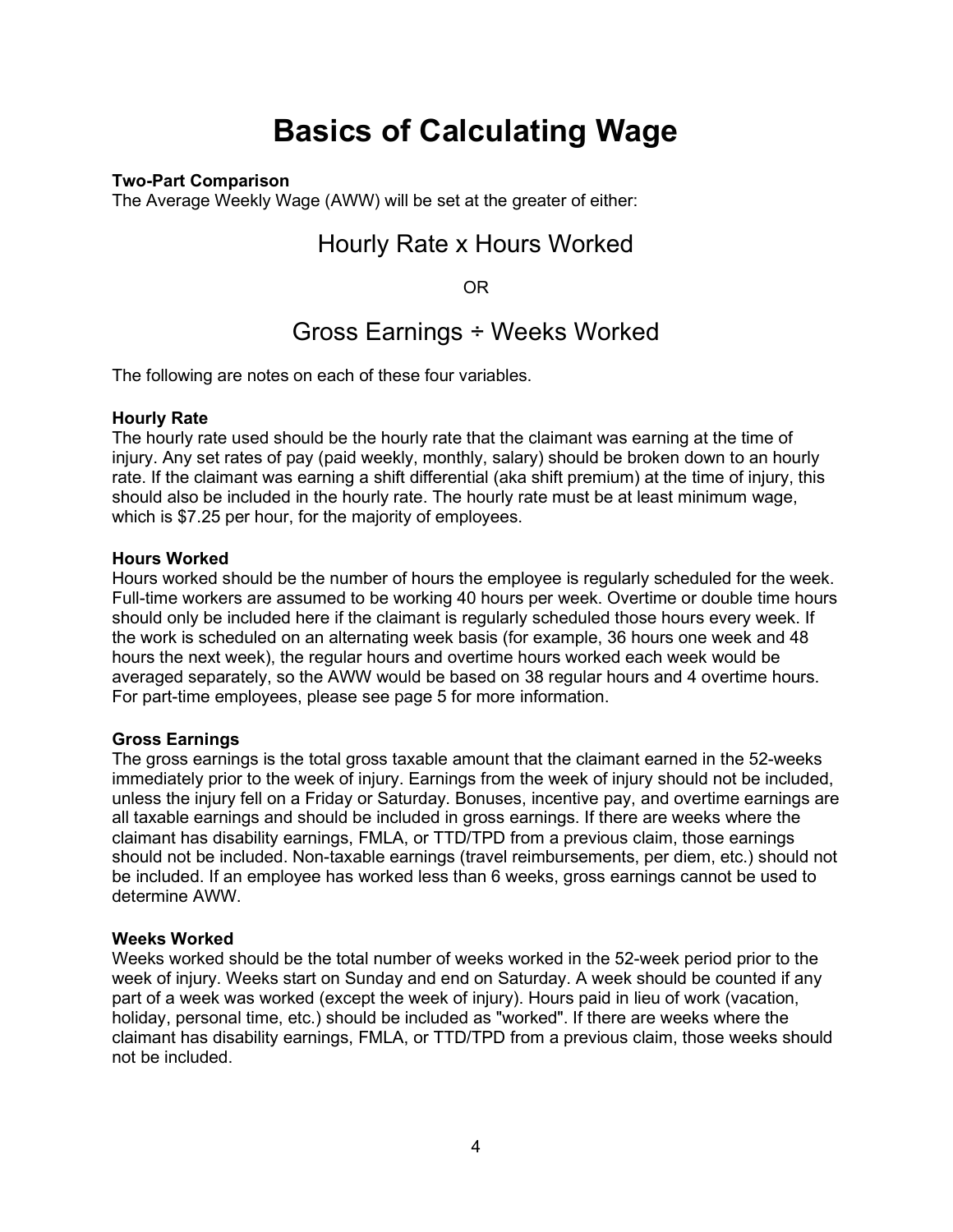### Basics of Calculating Wage

#### Two-Part Comparison

The Average Weekly Wage (AWW) will be set at the greater of either:

### Hourly Rate x Hours Worked

OR

### Gross Earnings ÷ Weeks Worked

The following are notes on each of these four variables.

#### Hourly Rate

The hourly rate used should be the hourly rate that the claimant was earning at the time of injury. Any set rates of pay (paid weekly, monthly, salary) should be broken down to an hourly rate. If the claimant was earning a shift differential (aka shift premium) at the time of injury, this should also be included in the hourly rate. The hourly rate must be at least minimum wage, which is \$7.25 per hour, for the majority of employees.

#### Hours Worked

Hours worked should be the number of hours the employee is regularly scheduled for the week. Full-time workers are assumed to be working 40 hours per week. Overtime or double time hours should only be included here if the claimant is regularly scheduled those hours every week. If the work is scheduled on an alternating week basis (for example, 36 hours one week and 48 hours the next week), the regular hours and overtime hours worked each week would be averaged separately, so the AWW would be based on 38 regular hours and 4 overtime hours. For part-time employees, please see page 5 for more information.

#### Gross Earnings

The gross earnings is the total gross taxable amount that the claimant earned in the 52-weeks immediately prior to the week of injury. Earnings from the week of injury should not be included, unless the injury fell on a Friday or Saturday. Bonuses, incentive pay, and overtime earnings are all taxable earnings and should be included in gross earnings. If there are weeks where the claimant has disability earnings, FMLA, or TTD/TPD from a previous claim, those earnings should not be included. Non-taxable earnings (travel reimbursements, per diem, etc.) should not be included. If an employee has worked less than 6 weeks, gross earnings cannot be used to determine AWW.

#### Weeks Worked

Weeks worked should be the total number of weeks worked in the 52-week period prior to the week of injury. Weeks start on Sunday and end on Saturday. A week should be counted if any part of a week was worked (except the week of injury). Hours paid in lieu of work (vacation, holiday, personal time, etc.) should be included as "worked". If there are weeks where the claimant has disability earnings, FMLA, or TTD/TPD from a previous claim, those weeks should not be included.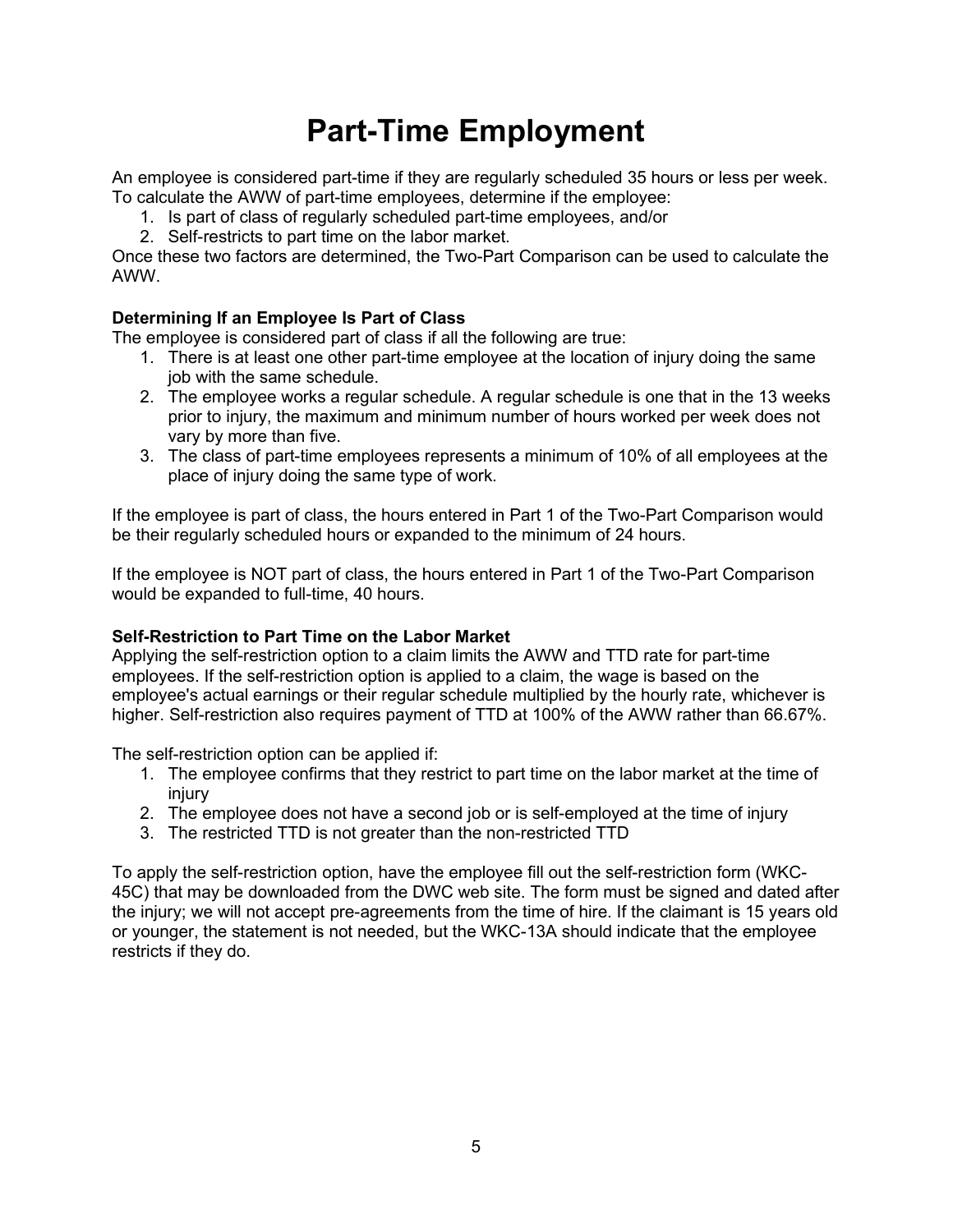# Part-Time Employment

An employee is considered part-time if they are regularly scheduled 35 hours or less per week. To calculate the AWW of part-time employees, determine if the employee:

- 1. Is part of class of regularly scheduled part-time employees, and/or
- 2. Self-restricts to part time on the labor market.

Once these two factors are determined, the Two-Part Comparison can be used to calculate the AWW.

#### Determining If an Employee Is Part of Class

The employee is considered part of class if all the following are true:

- 1. There is at least one other part-time employee at the location of injury doing the same job with the same schedule.
- 2. The employee works a regular schedule. A regular schedule is one that in the 13 weeks prior to injury, the maximum and minimum number of hours worked per week does not vary by more than five.
- 3. The class of part-time employees represents a minimum of 10% of all employees at the place of injury doing the same type of work.

If the employee is part of class, the hours entered in Part 1 of the Two-Part Comparison would be their regularly scheduled hours or expanded to the minimum of 24 hours.

If the employee is NOT part of class, the hours entered in Part 1 of the Two-Part Comparison would be expanded to full-time, 40 hours.

#### Self-Restriction to Part Time on the Labor Market

Applying the self-restriction option to a claim limits the AWW and TTD rate for part-time employees. If the self-restriction option is applied to a claim, the wage is based on the employee's actual earnings or their regular schedule multiplied by the hourly rate, whichever is higher. Self-restriction also requires payment of TTD at 100% of the AWW rather than 66.67%.

The self-restriction option can be applied if:

- 1. The employee confirms that they restrict to part time on the labor market at the time of injury
- 2. The employee does not have a second job or is self-employed at the time of injury
- 3. The restricted TTD is not greater than the non-restricted TTD

To apply the self-restriction option, have the employee fill out the self-restriction form (WKC-45C) that may be downloaded from the DWC web site. The form must be signed and dated after the injury; we will not accept pre-agreements from the time of hire. If the claimant is 15 years old or younger, the statement is not needed, but the WKC-13A should indicate that the employee restricts if they do.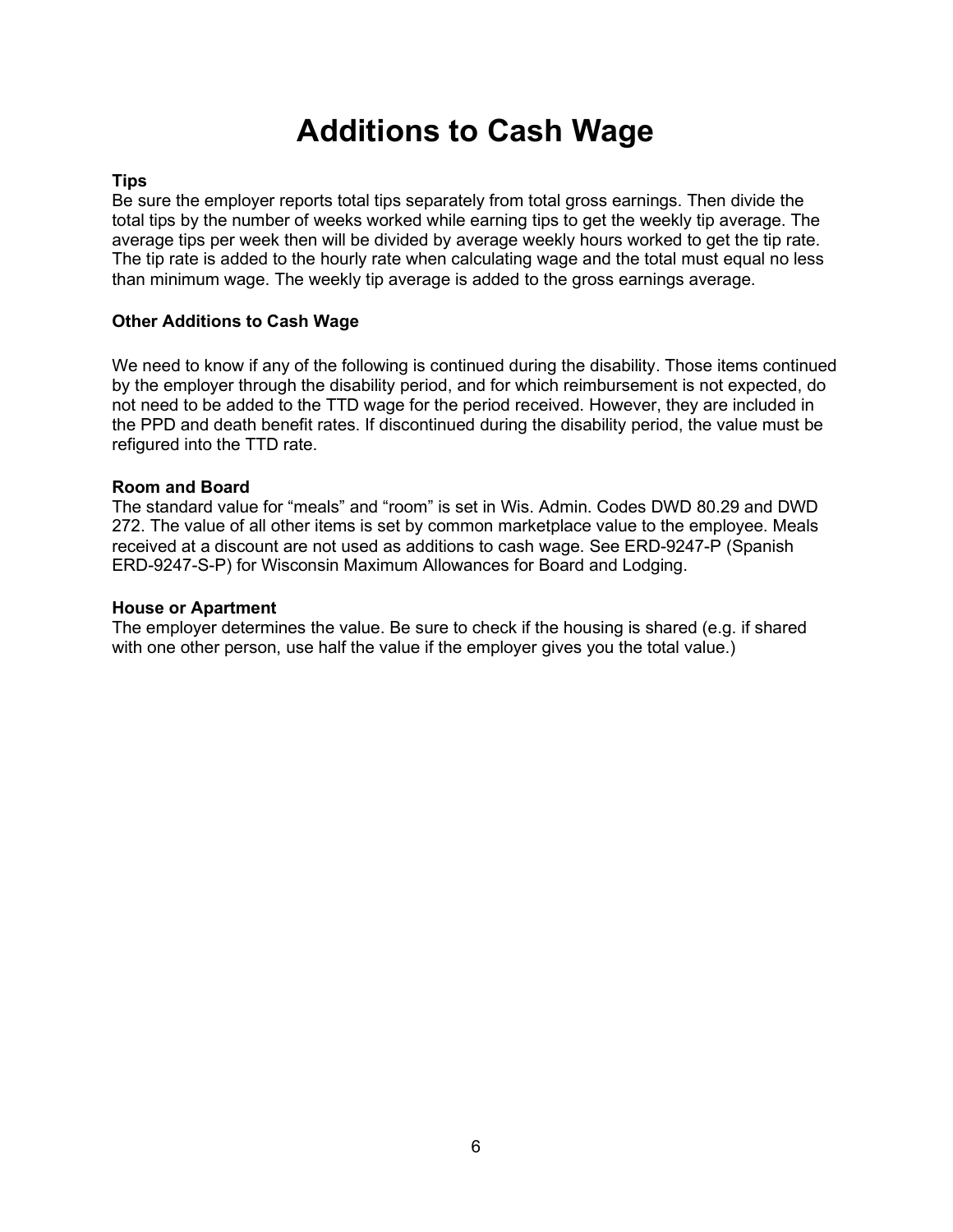### Additions to Cash Wage

#### **Tips**

Be sure the employer reports total tips separately from total gross earnings. Then divide the total tips by the number of weeks worked while earning tips to get the weekly tip average. The average tips per week then will be divided by average weekly hours worked to get the tip rate. The tip rate is added to the hourly rate when calculating wage and the total must equal no less than minimum wage. The weekly tip average is added to the gross earnings average.

#### Other Additions to Cash Wage

We need to know if any of the following is continued during the disability. Those items continued by the employer through the disability period, and for which reimbursement is not expected, do not need to be added to the TTD wage for the period received. However, they are included in the PPD and death benefit rates. If discontinued during the disability period, the value must be refigured into the TTD rate.

#### Room and Board

The standard value for "meals" and "room" is set in Wis. Admin. Codes DWD 80.29 and DWD 272. The value of all other items is set by common marketplace value to the employee. Meals received at a discount are not used as additions to cash wage. See ERD-9247-P (Spanish ERD-9247-S-P) for Wisconsin Maximum Allowances for Board and Lodging.

#### House or Apartment

The employer determines the value. Be sure to check if the housing is shared (e.g. if shared with one other person, use half the value if the employer gives you the total value.)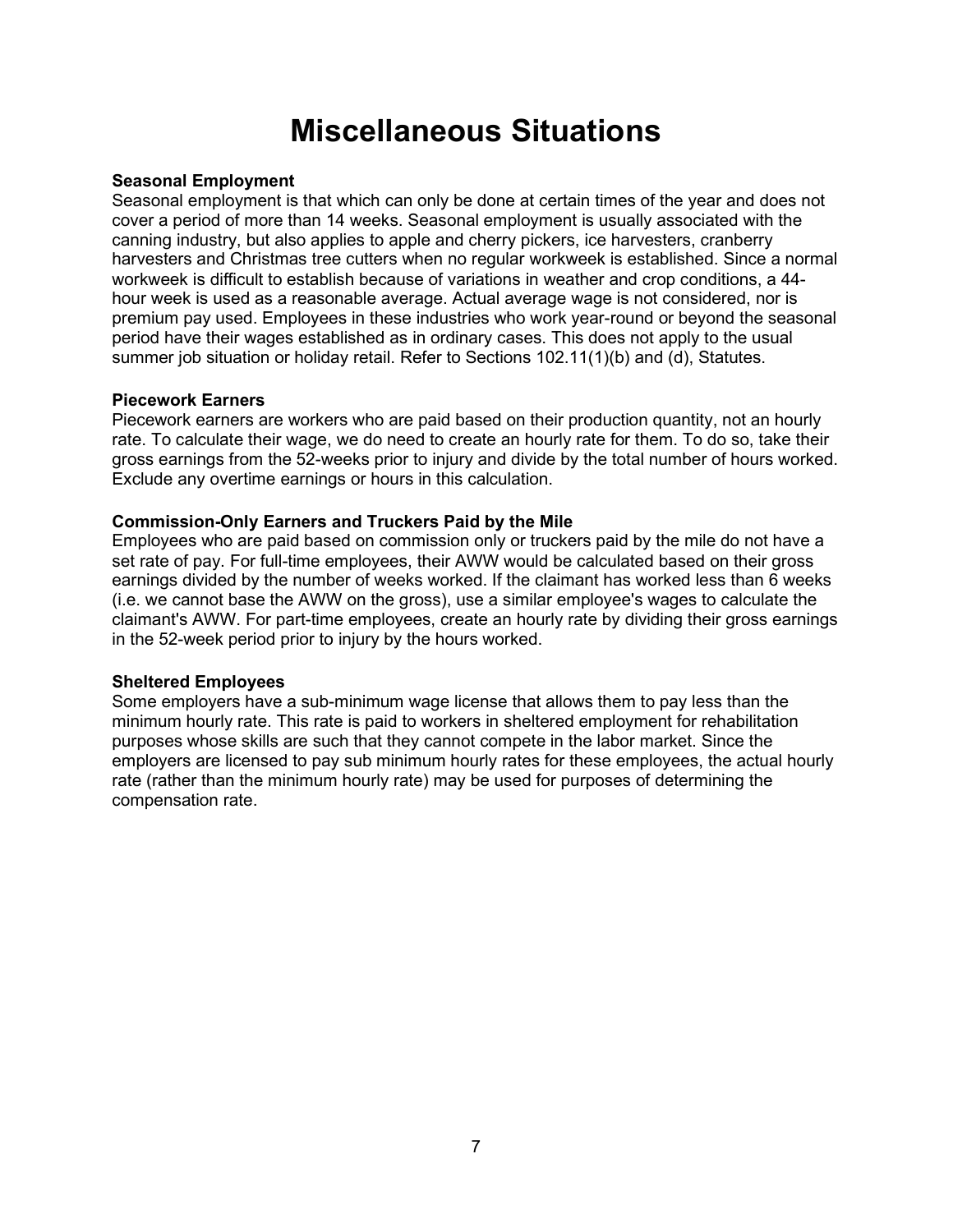### Miscellaneous Situations

#### Seasonal Employment

Seasonal employment is that which can only be done at certain times of the year and does not cover a period of more than 14 weeks. Seasonal employment is usually associated with the canning industry, but also applies to apple and cherry pickers, ice harvesters, cranberry harvesters and Christmas tree cutters when no regular workweek is established. Since a normal workweek is difficult to establish because of variations in weather and crop conditions, a 44 hour week is used as a reasonable average. Actual average wage is not considered, nor is premium pay used. Employees in these industries who work year-round or beyond the seasonal period have their wages established as in ordinary cases. This does not apply to the usual summer job situation or holiday retail. Refer to Sections 102.11(1)(b) and (d), Statutes.

#### Piecework Earners

Piecework earners are workers who are paid based on their production quantity, not an hourly rate. To calculate their wage, we do need to create an hourly rate for them. To do so, take their gross earnings from the 52-weeks prior to injury and divide by the total number of hours worked. Exclude any overtime earnings or hours in this calculation.

#### Commission-Only Earners and Truckers Paid by the Mile

Employees who are paid based on commission only or truckers paid by the mile do not have a set rate of pay. For full-time employees, their AWW would be calculated based on their gross earnings divided by the number of weeks worked. If the claimant has worked less than 6 weeks (i.e. we cannot base the AWW on the gross), use a similar employee's wages to calculate the claimant's AWW. For part-time employees, create an hourly rate by dividing their gross earnings in the 52-week period prior to injury by the hours worked.

#### Sheltered Employees

Some employers have a sub-minimum wage license that allows them to pay less than the minimum hourly rate. This rate is paid to workers in sheltered employment for rehabilitation purposes whose skills are such that they cannot compete in the labor market. Since the employers are licensed to pay sub minimum hourly rates for these employees, the actual hourly rate (rather than the minimum hourly rate) may be used for purposes of determining the compensation rate.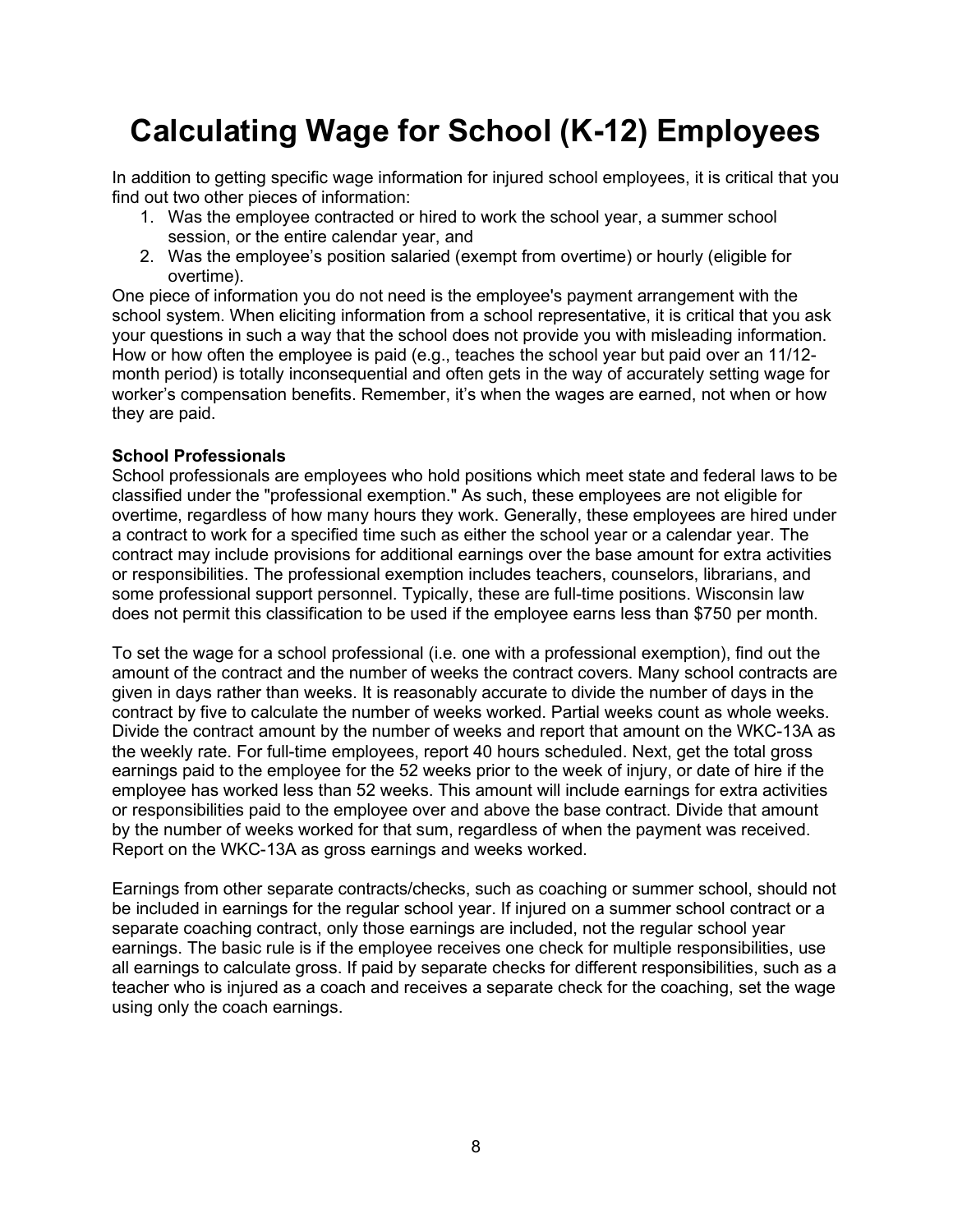# Calculating Wage for School (K-12) Employees

In addition to getting specific wage information for injured school employees, it is critical that you find out two other pieces of information:

- 1. Was the employee contracted or hired to work the school year, a summer school session, or the entire calendar year, and
- 2. Was the employee's position salaried (exempt from overtime) or hourly (eligible for overtime).

One piece of information you do not need is the employee's payment arrangement with the school system. When eliciting information from a school representative, it is critical that you ask your questions in such a way that the school does not provide you with misleading information. How or how often the employee is paid (e.g., teaches the school year but paid over an 11/12 month period) is totally inconsequential and often gets in the way of accurately setting wage for worker's compensation benefits. Remember, it's when the wages are earned, not when or how they are paid.

#### School Professionals

School professionals are employees who hold positions which meet state and federal laws to be classified under the "professional exemption." As such, these employees are not eligible for overtime, regardless of how many hours they work. Generally, these employees are hired under a contract to work for a specified time such as either the school year or a calendar year. The contract may include provisions for additional earnings over the base amount for extra activities or responsibilities. The professional exemption includes teachers, counselors, librarians, and some professional support personnel. Typically, these are full-time positions. Wisconsin law does not permit this classification to be used if the employee earns less than \$750 per month.

To set the wage for a school professional (i.e. one with a professional exemption), find out the amount of the contract and the number of weeks the contract covers. Many school contracts are given in days rather than weeks. It is reasonably accurate to divide the number of days in the contract by five to calculate the number of weeks worked. Partial weeks count as whole weeks. Divide the contract amount by the number of weeks and report that amount on the WKC-13A as the weekly rate. For full-time employees, report 40 hours scheduled. Next, get the total gross earnings paid to the employee for the 52 weeks prior to the week of injury, or date of hire if the employee has worked less than 52 weeks. This amount will include earnings for extra activities or responsibilities paid to the employee over and above the base contract. Divide that amount by the number of weeks worked for that sum, regardless of when the payment was received. Report on the WKC-13A as gross earnings and weeks worked.

Earnings from other separate contracts/checks, such as coaching or summer school, should not be included in earnings for the regular school year. If injured on a summer school contract or a separate coaching contract, only those earnings are included, not the regular school year earnings. The basic rule is if the employee receives one check for multiple responsibilities, use all earnings to calculate gross. If paid by separate checks for different responsibilities, such as a teacher who is injured as a coach and receives a separate check for the coaching, set the wage using only the coach earnings.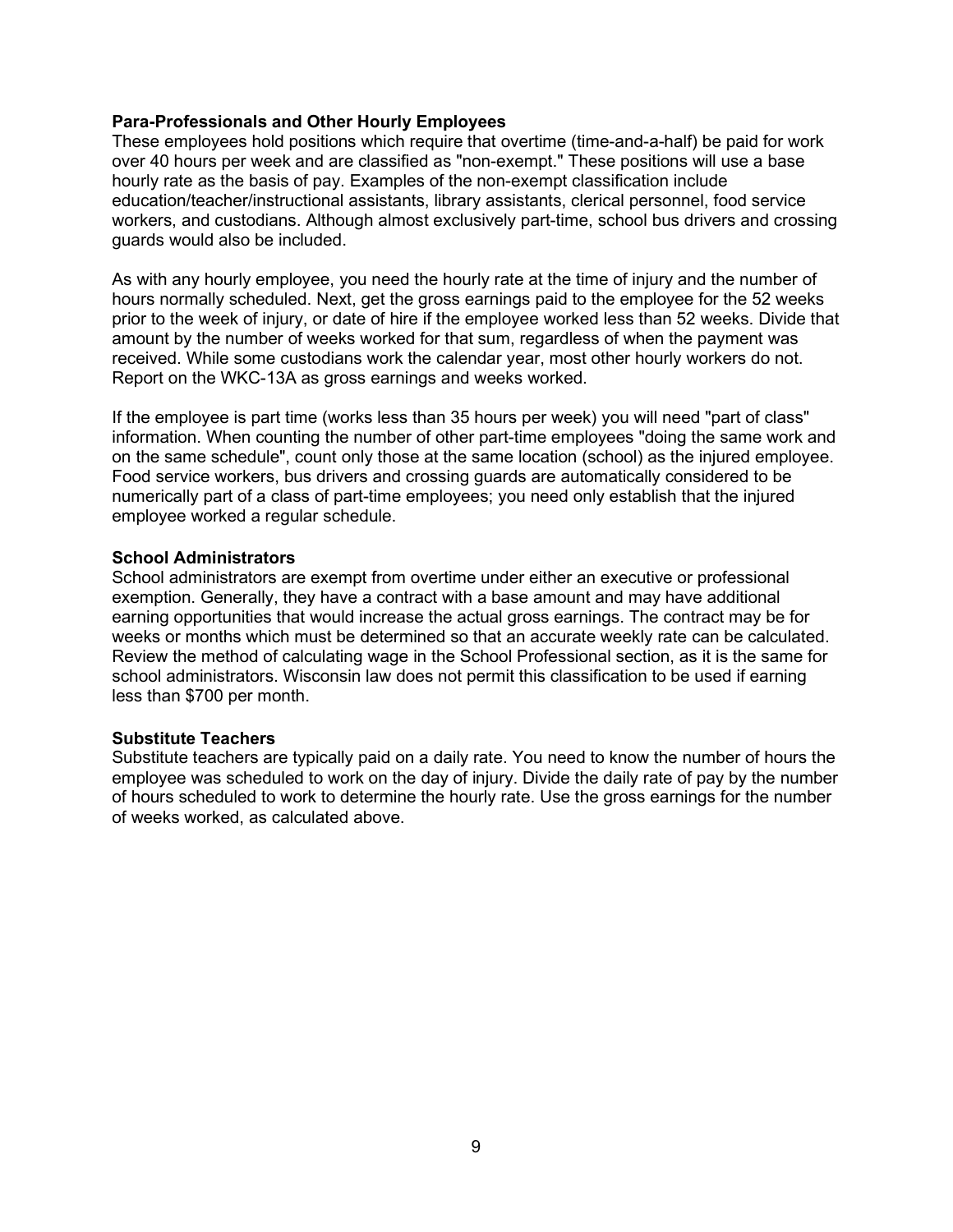#### Para-Professionals and Other Hourly Employees

These employees hold positions which require that overtime (time-and-a-half) be paid for work over 40 hours per week and are classified as "non-exempt." These positions will use a base hourly rate as the basis of pay. Examples of the non-exempt classification include education/teacher/instructional assistants, library assistants, clerical personnel, food service workers, and custodians. Although almost exclusively part-time, school bus drivers and crossing guards would also be included.

As with any hourly employee, you need the hourly rate at the time of injury and the number of hours normally scheduled. Next, get the gross earnings paid to the employee for the 52 weeks prior to the week of injury, or date of hire if the employee worked less than 52 weeks. Divide that amount by the number of weeks worked for that sum, regardless of when the payment was received. While some custodians work the calendar year, most other hourly workers do not. Report on the WKC-13A as gross earnings and weeks worked.

If the employee is part time (works less than 35 hours per week) you will need "part of class" information. When counting the number of other part-time employees "doing the same work and on the same schedule", count only those at the same location (school) as the injured employee. Food service workers, bus drivers and crossing guards are automatically considered to be numerically part of a class of part-time employees; you need only establish that the injured employee worked a regular schedule.

#### School Administrators

School administrators are exempt from overtime under either an executive or professional exemption. Generally, they have a contract with a base amount and may have additional earning opportunities that would increase the actual gross earnings. The contract may be for weeks or months which must be determined so that an accurate weekly rate can be calculated. Review the method of calculating wage in the School Professional section, as it is the same for school administrators. Wisconsin law does not permit this classification to be used if earning less than \$700 per month.

#### Substitute Teachers

Substitute teachers are typically paid on a daily rate. You need to know the number of hours the employee was scheduled to work on the day of injury. Divide the daily rate of pay by the number of hours scheduled to work to determine the hourly rate. Use the gross earnings for the number of weeks worked, as calculated above.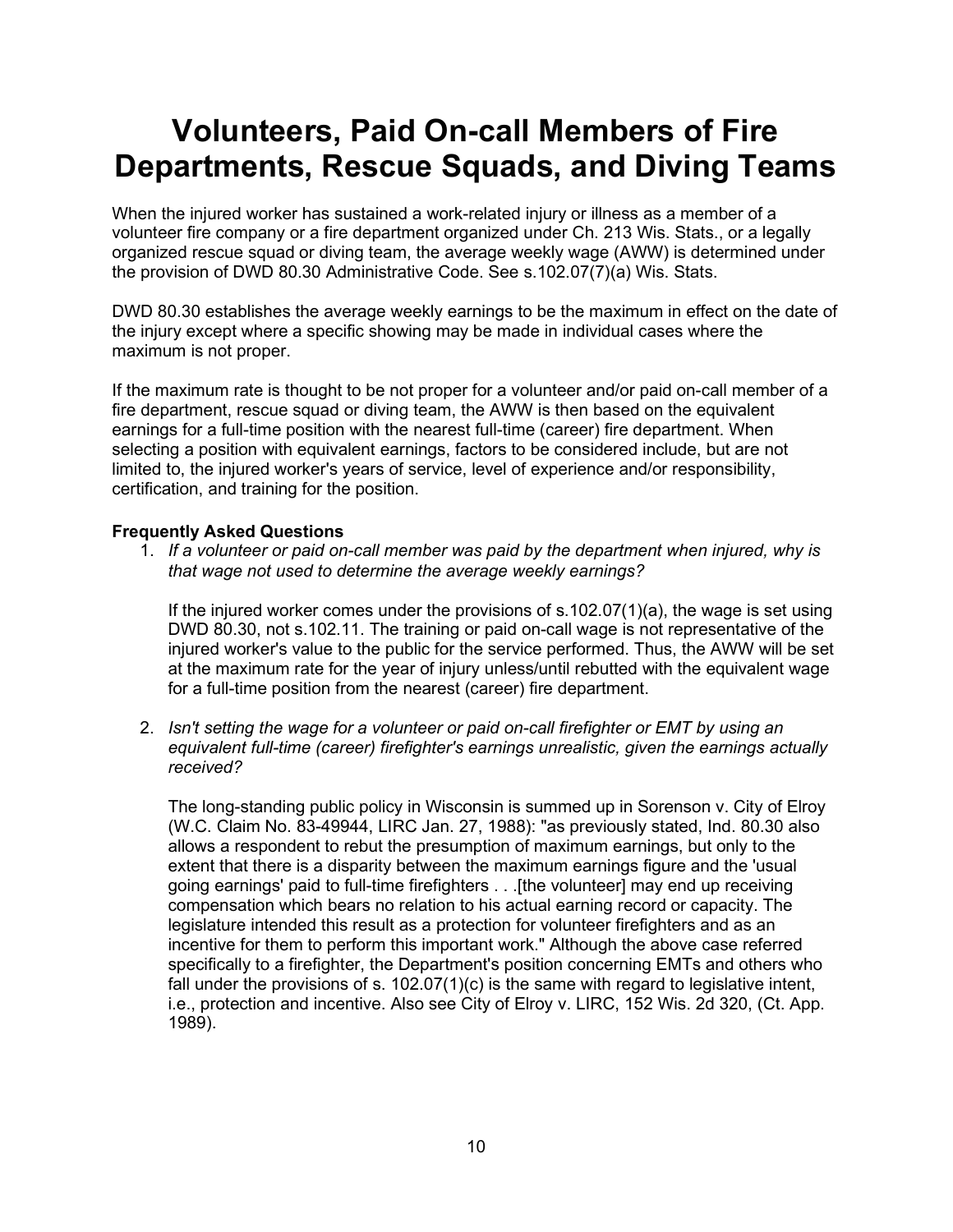### Volunteers, Paid On-call Members of Fire Departments, Rescue Squads, and Diving Teams

When the injured worker has sustained a work-related injury or illness as a member of a volunteer fire company or a fire department organized under Ch. 213 Wis. Stats., or a legally organized rescue squad or diving team, the average weekly wage (AWW) is determined under the provision of DWD 80.30 Administrative Code. See s.102.07(7)(a) Wis. Stats.

DWD 80.30 establishes the average weekly earnings to be the maximum in effect on the date of the injury except where a specific showing may be made in individual cases where the maximum is not proper.

If the maximum rate is thought to be not proper for a volunteer and/or paid on-call member of a fire department, rescue squad or diving team, the AWW is then based on the equivalent earnings for a full-time position with the nearest full-time (career) fire department. When selecting a position with equivalent earnings, factors to be considered include, but are not limited to, the injured worker's years of service, level of experience and/or responsibility, certification, and training for the position.

#### Frequently Asked Questions

1. If a volunteer or paid on-call member was paid by the department when injured, why is that wage not used to determine the average weekly earnings?

If the injured worker comes under the provisions of s.102.07(1)(a), the wage is set using DWD 80.30, not s.102.11. The training or paid on-call wage is not representative of the injured worker's value to the public for the service performed. Thus, the AWW will be set at the maximum rate for the year of injury unless/until rebutted with the equivalent wage for a full-time position from the nearest (career) fire department.

2. Isn't setting the wage for a volunteer or paid on-call firefighter or EMT by using an equivalent full-time (career) firefighter's earnings unrealistic, given the earnings actually received?

The long-standing public policy in Wisconsin is summed up in Sorenson v. City of Elroy (W.C. Claim No. 83-49944, LIRC Jan. 27, 1988): "as previously stated, Ind. 80.30 also allows a respondent to rebut the presumption of maximum earnings, but only to the extent that there is a disparity between the maximum earnings figure and the 'usual going earnings' paid to full-time firefighters . . .[the volunteer] may end up receiving compensation which bears no relation to his actual earning record or capacity. The legislature intended this result as a protection for volunteer firefighters and as an incentive for them to perform this important work." Although the above case referred specifically to a firefighter, the Department's position concerning EMTs and others who fall under the provisions of s. 102.07(1)(c) is the same with regard to legislative intent, i.e., protection and incentive. Also see City of Elroy v. LIRC, 152 Wis. 2d 320, (Ct. App. 1989).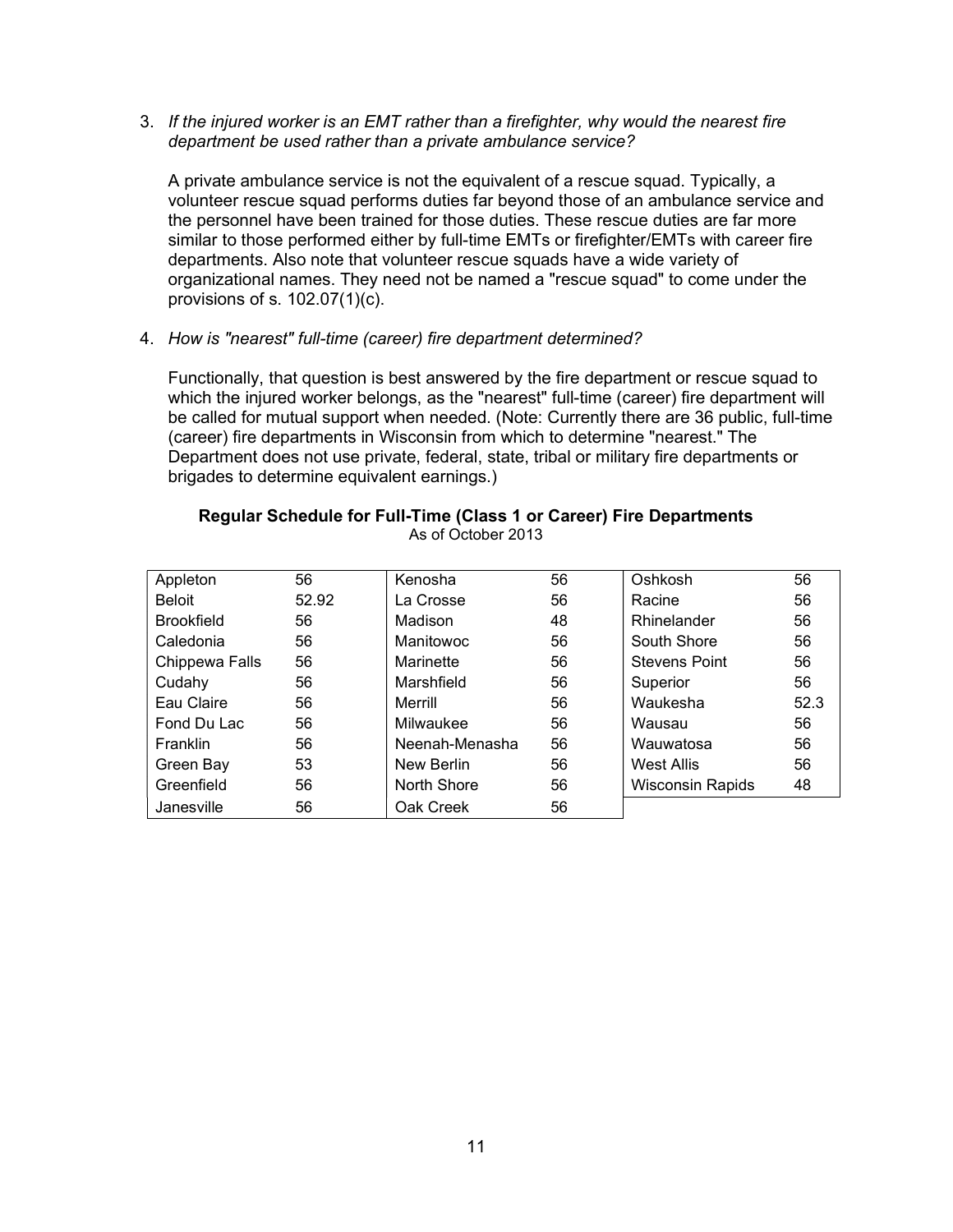#### 3. If the injured worker is an EMT rather than a firefighter, why would the nearest fire department be used rather than a private ambulance service?

A private ambulance service is not the equivalent of a rescue squad. Typically, a volunteer rescue squad performs duties far beyond those of an ambulance service and the personnel have been trained for those duties. These rescue duties are far more similar to those performed either by full-time EMTs or firefighter/EMTs with career fire departments. Also note that volunteer rescue squads have a wide variety of organizational names. They need not be named a "rescue squad" to come under the provisions of s. 102.07(1)(c).

4. How is "nearest" full-time (career) fire department determined?

Functionally, that question is best answered by the fire department or rescue squad to which the injured worker belongs, as the "nearest" full-time (career) fire department will be called for mutual support when needed. (Note: Currently there are 36 public, full-time (career) fire departments in Wisconsin from which to determine "nearest." The Department does not use private, federal, state, tribal or military fire departments or brigades to determine equivalent earnings.)

#### Regular Schedule for Full-Time (Class 1 or Career) Fire Departments As of October 2013

| Appleton          | 56    | Kenosha        | 56 | Oshkosh                 | 56   |
|-------------------|-------|----------------|----|-------------------------|------|
| <b>Beloit</b>     | 52.92 | La Crosse      | 56 | Racine                  | 56   |
| <b>Brookfield</b> | 56    | Madison        | 48 | Rhinelander             | 56   |
| Caledonia         | 56    | Manitowoc      | 56 | South Shore             | 56   |
| Chippewa Falls    | 56    | Marinette      | 56 | <b>Stevens Point</b>    | 56   |
| Cudahy            | 56    | Marshfield     | 56 | Superior                | 56   |
| Eau Claire        | 56    | Merrill        | 56 | Waukesha                | 52.3 |
| Fond Du Lac       | 56    | Milwaukee      | 56 | Wausau                  | 56   |
| Franklin          | 56    | Neenah-Menasha | 56 | Wauwatosa               | 56   |
| Green Bay         | 53    | New Berlin     | 56 | West Allis              | 56   |
| Greenfield        | 56    | North Shore    | 56 | <b>Wisconsin Rapids</b> | 48   |
| Janesville        | 56    | Oak Creek      | 56 |                         |      |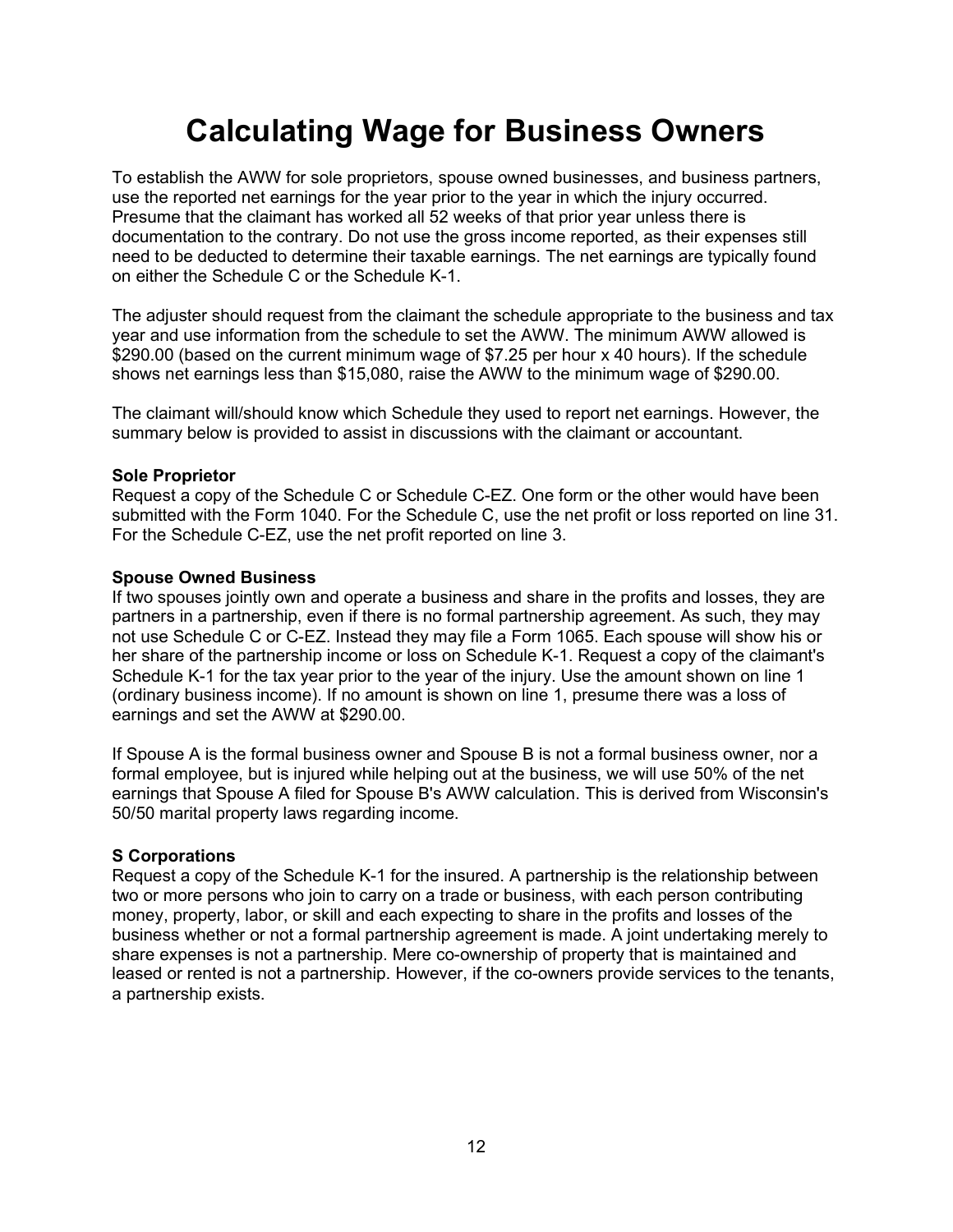### Calculating Wage for Business Owners

To establish the AWW for sole proprietors, spouse owned businesses, and business partners, use the reported net earnings for the year prior to the year in which the injury occurred. Presume that the claimant has worked all 52 weeks of that prior year unless there is documentation to the contrary. Do not use the gross income reported, as their expenses still need to be deducted to determine their taxable earnings. The net earnings are typically found on either the Schedule C or the Schedule K-1.

The adjuster should request from the claimant the schedule appropriate to the business and tax year and use information from the schedule to set the AWW. The minimum AWW allowed is \$290.00 (based on the current minimum wage of \$7.25 per hour x 40 hours). If the schedule shows net earnings less than \$15,080, raise the AWW to the minimum wage of \$290.00.

The claimant will/should know which Schedule they used to report net earnings. However, the summary below is provided to assist in discussions with the claimant or accountant.

#### Sole Proprietor

Request a copy of the Schedule C or Schedule C-EZ. One form or the other would have been submitted with the Form 1040. For the Schedule C, use the net profit or loss reported on line 31. For the Schedule C-EZ, use the net profit reported on line 3.

#### Spouse Owned Business

If two spouses jointly own and operate a business and share in the profits and losses, they are partners in a partnership, even if there is no formal partnership agreement. As such, they may not use Schedule C or C-EZ. Instead they may file a Form 1065. Each spouse will show his or her share of the partnership income or loss on Schedule K-1. Request a copy of the claimant's Schedule K-1 for the tax year prior to the year of the injury. Use the amount shown on line 1 (ordinary business income). If no amount is shown on line 1, presume there was a loss of earnings and set the AWW at \$290.00.

If Spouse A is the formal business owner and Spouse B is not a formal business owner, nor a formal employee, but is injured while helping out at the business, we will use 50% of the net earnings that Spouse A filed for Spouse B's AWW calculation. This is derived from Wisconsin's 50/50 marital property laws regarding income.

#### S Corporations

Request a copy of the Schedule K-1 for the insured. A partnership is the relationship between two or more persons who join to carry on a trade or business, with each person contributing money, property, labor, or skill and each expecting to share in the profits and losses of the business whether or not a formal partnership agreement is made. A joint undertaking merely to share expenses is not a partnership. Mere co-ownership of property that is maintained and leased or rented is not a partnership. However, if the co-owners provide services to the tenants, a partnership exists.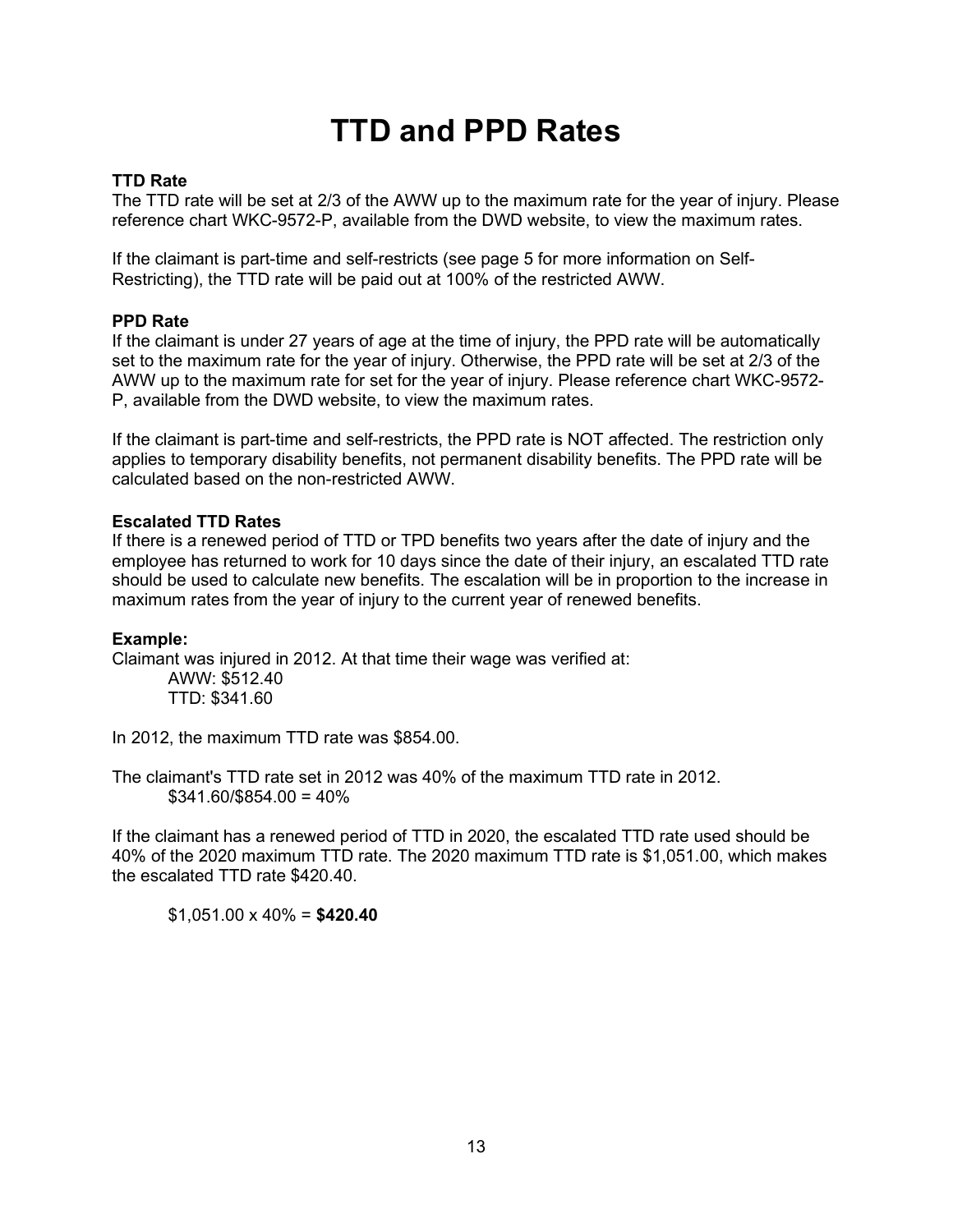### TTD and PPD Rates

#### TTD Rate

The TTD rate will be set at 2/3 of the AWW up to the maximum rate for the year of injury. Please reference chart WKC-9572-P, available from the DWD website, to view the maximum rates.

If the claimant is part-time and self-restricts (see page 5 for more information on Self-Restricting), the TTD rate will be paid out at 100% of the restricted AWW.

#### PPD Rate

If the claimant is under 27 years of age at the time of injury, the PPD rate will be automatically set to the maximum rate for the year of injury. Otherwise, the PPD rate will be set at 2/3 of the AWW up to the maximum rate for set for the year of injury. Please reference chart WKC-9572- P, available from the DWD website, to view the maximum rates.

If the claimant is part-time and self-restricts, the PPD rate is NOT affected. The restriction only applies to temporary disability benefits, not permanent disability benefits. The PPD rate will be calculated based on the non-restricted AWW.

#### Escalated TTD Rates

If there is a renewed period of TTD or TPD benefits two years after the date of injury and the employee has returned to work for 10 days since the date of their injury, an escalated TTD rate should be used to calculate new benefits. The escalation will be in proportion to the increase in maximum rates from the year of injury to the current year of renewed benefits.

#### Example:

Claimant was injured in 2012. At that time their wage was verified at: AWW: \$512.40 TTD: \$341.60

In 2012, the maximum TTD rate was \$854.00.

The claimant's TTD rate set in 2012 was 40% of the maximum TTD rate in 2012.  $$341.60$ /\$854.00 = 40%

If the claimant has a renewed period of TTD in 2020, the escalated TTD rate used should be 40% of the 2020 maximum TTD rate. The 2020 maximum TTD rate is \$1,051.00, which makes the escalated TTD rate \$420.40.

 $$1,051.00 \times 40\% = $420.40$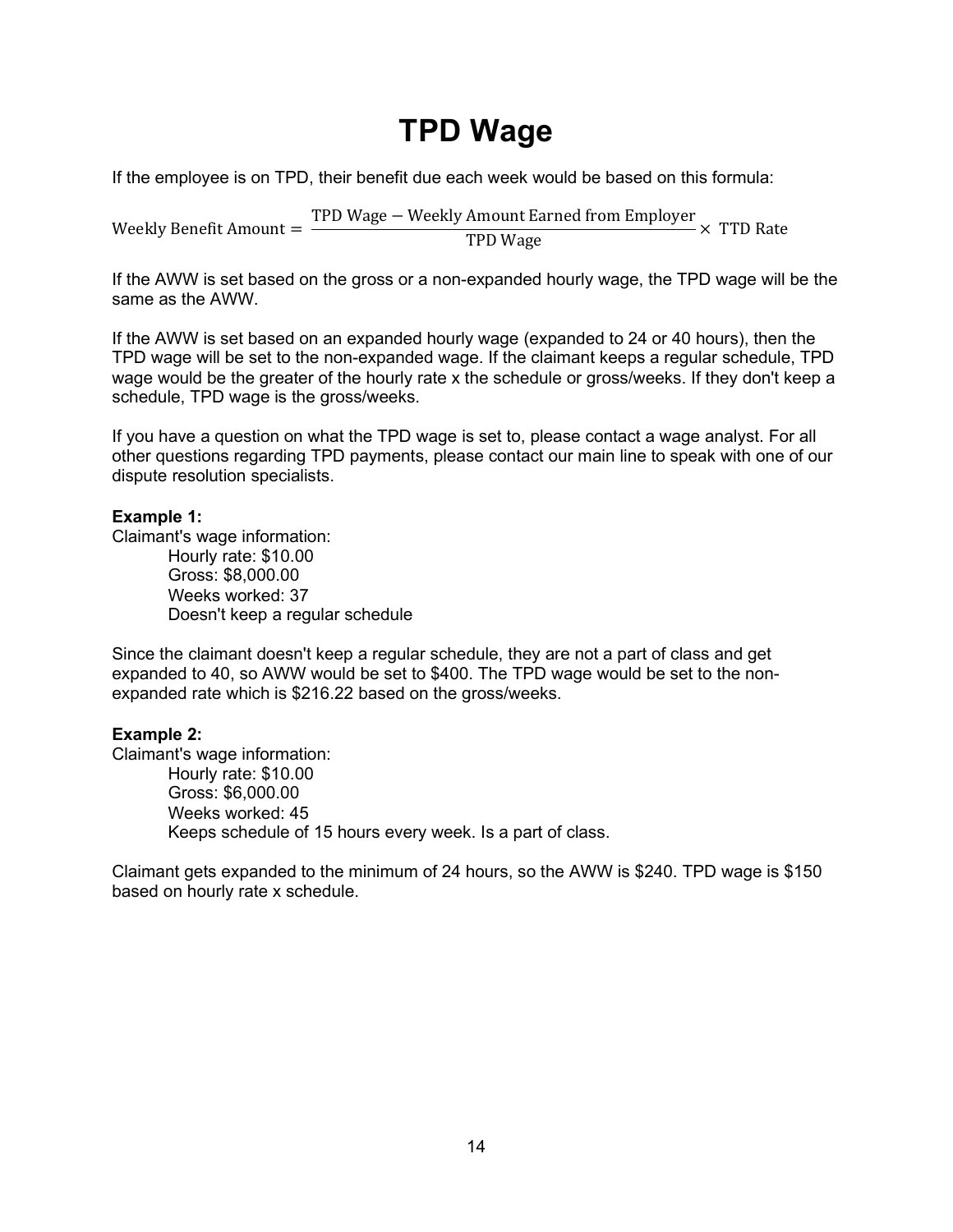### TPD Wage

If the employee is on TPD, their benefit due each week would be based on this formula:

Weekly Benefit Amount = TPD Wage − Weekly Amount Earned from Employer  $\frac{\text{Amount} \text{Laplace from } \text{improper}}{\text{TPD} \text{Wage}} \times \text{TTD}$  Rate

If the AWW is set based on the gross or a non-expanded hourly wage, the TPD wage will be the same as the AWW.

If the AWW is set based on an expanded hourly wage (expanded to 24 or 40 hours), then the TPD wage will be set to the non-expanded wage. If the claimant keeps a regular schedule, TPD wage would be the greater of the hourly rate x the schedule or gross/weeks. If they don't keep a schedule, TPD wage is the gross/weeks.

If you have a question on what the TPD wage is set to, please contact a wage analyst. For all other questions regarding TPD payments, please contact our main line to speak with one of our dispute resolution specialists.

#### Example 1:

Claimant's wage information:

Hourly rate: \$10.00 Gross: \$8,000.00 Weeks worked: 37 Doesn't keep a regular schedule

Since the claimant doesn't keep a regular schedule, they are not a part of class and get expanded to 40, so AWW would be set to \$400. The TPD wage would be set to the nonexpanded rate which is \$216.22 based on the gross/weeks.

#### Example 2:

Claimant's wage information: Hourly rate: \$10.00 Gross: \$6,000.00 Weeks worked: 45 Keeps schedule of 15 hours every week. Is a part of class.

Claimant gets expanded to the minimum of 24 hours, so the AWW is \$240. TPD wage is \$150 based on hourly rate x schedule.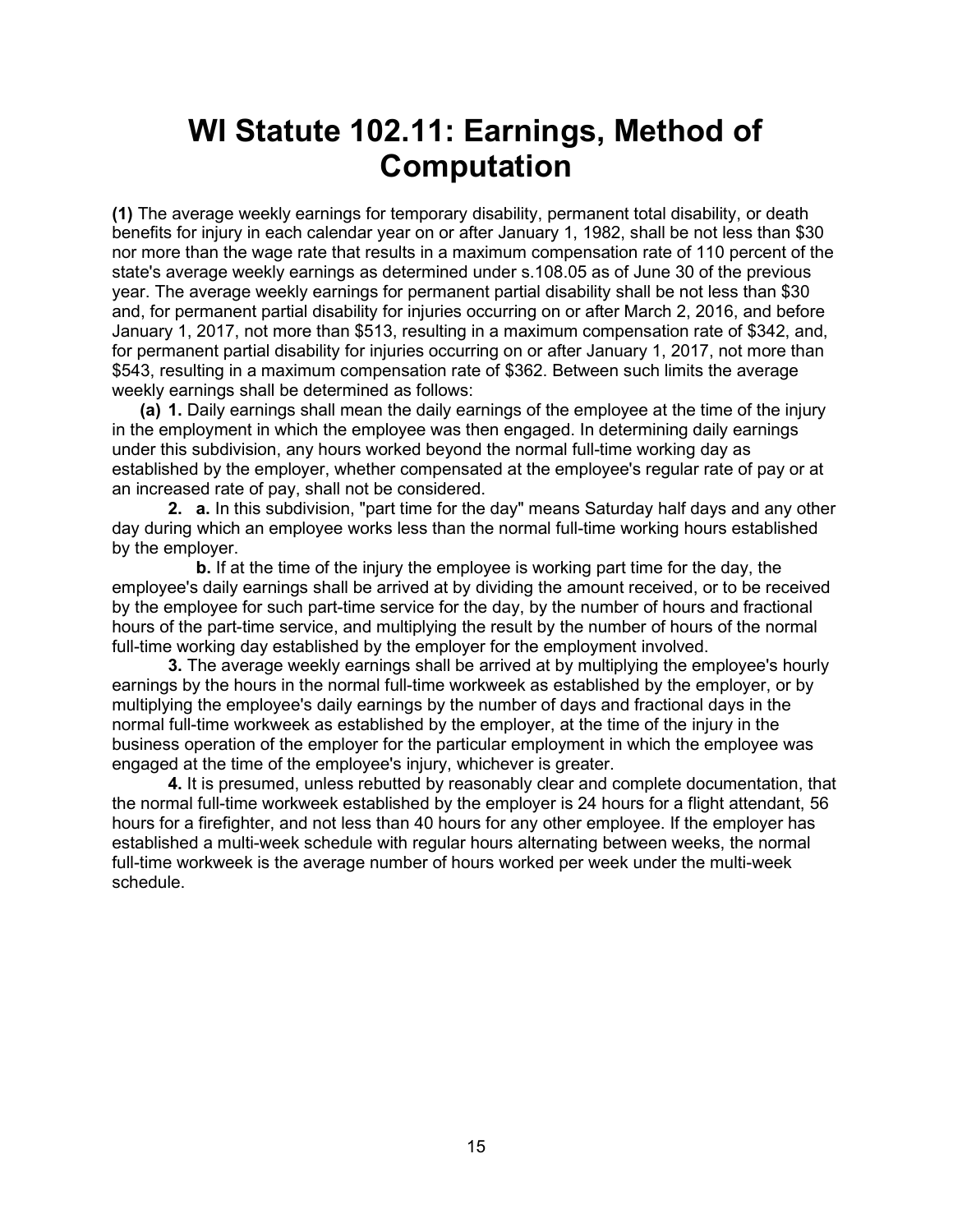### WI Statute 102.11: Earnings, Method of Computation

(1) The average weekly earnings for temporary disability, permanent total disability, or death benefits for injury in each calendar year on or after January 1, 1982, shall be not less than \$30 nor more than the wage rate that results in a maximum compensation rate of 110 percent of the state's average weekly earnings as determined under s.108.05 as of June 30 of the previous year. The average weekly earnings for permanent partial disability shall be not less than \$30 and, for permanent partial disability for injuries occurring on or after March 2, 2016, and before January 1, 2017, not more than \$513, resulting in a maximum compensation rate of \$342, and, for permanent partial disability for injuries occurring on or after January 1, 2017, not more than \$543, resulting in a maximum compensation rate of \$362. Between such limits the average weekly earnings shall be determined as follows:

(a) 1. Daily earnings shall mean the daily earnings of the employee at the time of the injury in the employment in which the employee was then engaged. In determining daily earnings under this subdivision, any hours worked beyond the normal full-time working day as established by the employer, whether compensated at the employee's regular rate of pay or at an increased rate of pay, shall not be considered.

2. a. In this subdivision, "part time for the day" means Saturday half days and any other day during which an employee works less than the normal full-time working hours established by the employer.

b. If at the time of the injury the employee is working part time for the day, the employee's daily earnings shall be arrived at by dividing the amount received, or to be received by the employee for such part-time service for the day, by the number of hours and fractional hours of the part-time service, and multiplying the result by the number of hours of the normal full-time working day established by the employer for the employment involved.

 3. The average weekly earnings shall be arrived at by multiplying the employee's hourly earnings by the hours in the normal full-time workweek as established by the employer, or by multiplying the employee's daily earnings by the number of days and fractional days in the normal full-time workweek as established by the employer, at the time of the injury in the business operation of the employer for the particular employment in which the employee was engaged at the time of the employee's injury, whichever is greater.

 4. It is presumed, unless rebutted by reasonably clear and complete documentation, that the normal full-time workweek established by the employer is 24 hours for a flight attendant, 56 hours for a firefighter, and not less than 40 hours for any other employee. If the employer has established a multi-week schedule with regular hours alternating between weeks, the normal full-time workweek is the average number of hours worked per week under the multi-week schedule.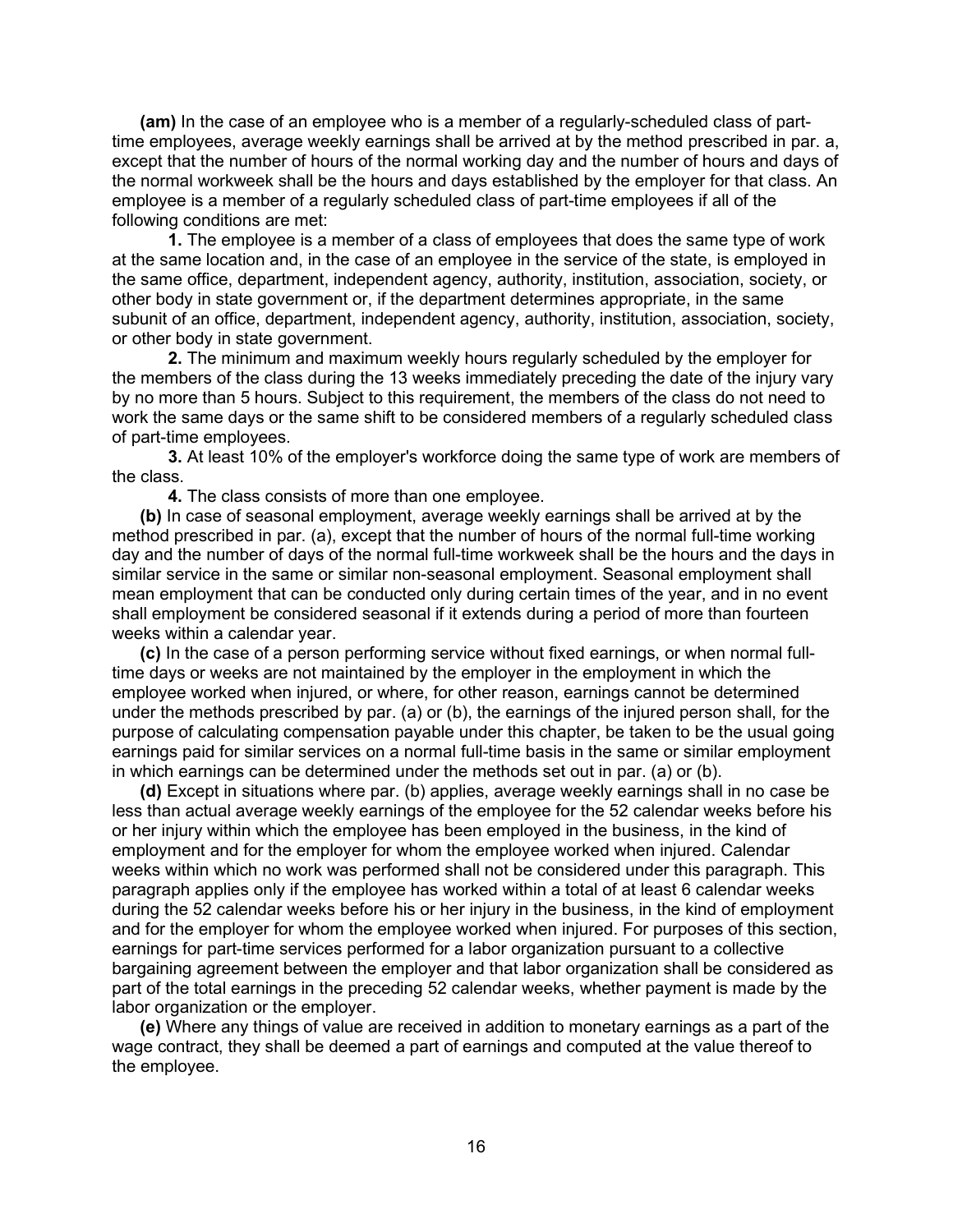(am) In the case of an employee who is a member of a regularly-scheduled class of parttime employees, average weekly earnings shall be arrived at by the method prescribed in par. a, except that the number of hours of the normal working day and the number of hours and days of the normal workweek shall be the hours and days established by the employer for that class. An employee is a member of a regularly scheduled class of part-time employees if all of the following conditions are met:

 1. The employee is a member of a class of employees that does the same type of work at the same location and, in the case of an employee in the service of the state, is employed in the same office, department, independent agency, authority, institution, association, society, or other body in state government or, if the department determines appropriate, in the same subunit of an office, department, independent agency, authority, institution, association, society, or other body in state government.

 2. The minimum and maximum weekly hours regularly scheduled by the employer for the members of the class during the 13 weeks immediately preceding the date of the injury vary by no more than 5 hours. Subject to this requirement, the members of the class do not need to work the same days or the same shift to be considered members of a regularly scheduled class of part-time employees.

 3. At least 10% of the employer's workforce doing the same type of work are members of the class.

4. The class consists of more than one employee.

 (b) In case of seasonal employment, average weekly earnings shall be arrived at by the method prescribed in par. (a), except that the number of hours of the normal full-time working day and the number of days of the normal full-time workweek shall be the hours and the days in similar service in the same or similar non-seasonal employment. Seasonal employment shall mean employment that can be conducted only during certain times of the year, and in no event shall employment be considered seasonal if it extends during a period of more than fourteen weeks within a calendar year.

 (c) In the case of a person performing service without fixed earnings, or when normal fulltime days or weeks are not maintained by the employer in the employment in which the employee worked when injured, or where, for other reason, earnings cannot be determined under the methods prescribed by par. (a) or (b), the earnings of the injured person shall, for the purpose of calculating compensation payable under this chapter, be taken to be the usual going earnings paid for similar services on a normal full-time basis in the same or similar employment in which earnings can be determined under the methods set out in par. (a) or (b).

 (d) Except in situations where par. (b) applies, average weekly earnings shall in no case be less than actual average weekly earnings of the employee for the 52 calendar weeks before his or her injury within which the employee has been employed in the business, in the kind of employment and for the employer for whom the employee worked when injured. Calendar weeks within which no work was performed shall not be considered under this paragraph. This paragraph applies only if the employee has worked within a total of at least 6 calendar weeks during the 52 calendar weeks before his or her injury in the business, in the kind of employment and for the employer for whom the employee worked when injured. For purposes of this section, earnings for part-time services performed for a labor organization pursuant to a collective bargaining agreement between the employer and that labor organization shall be considered as part of the total earnings in the preceding 52 calendar weeks, whether payment is made by the labor organization or the employer.

 (e) Where any things of value are received in addition to monetary earnings as a part of the wage contract, they shall be deemed a part of earnings and computed at the value thereof to the employee.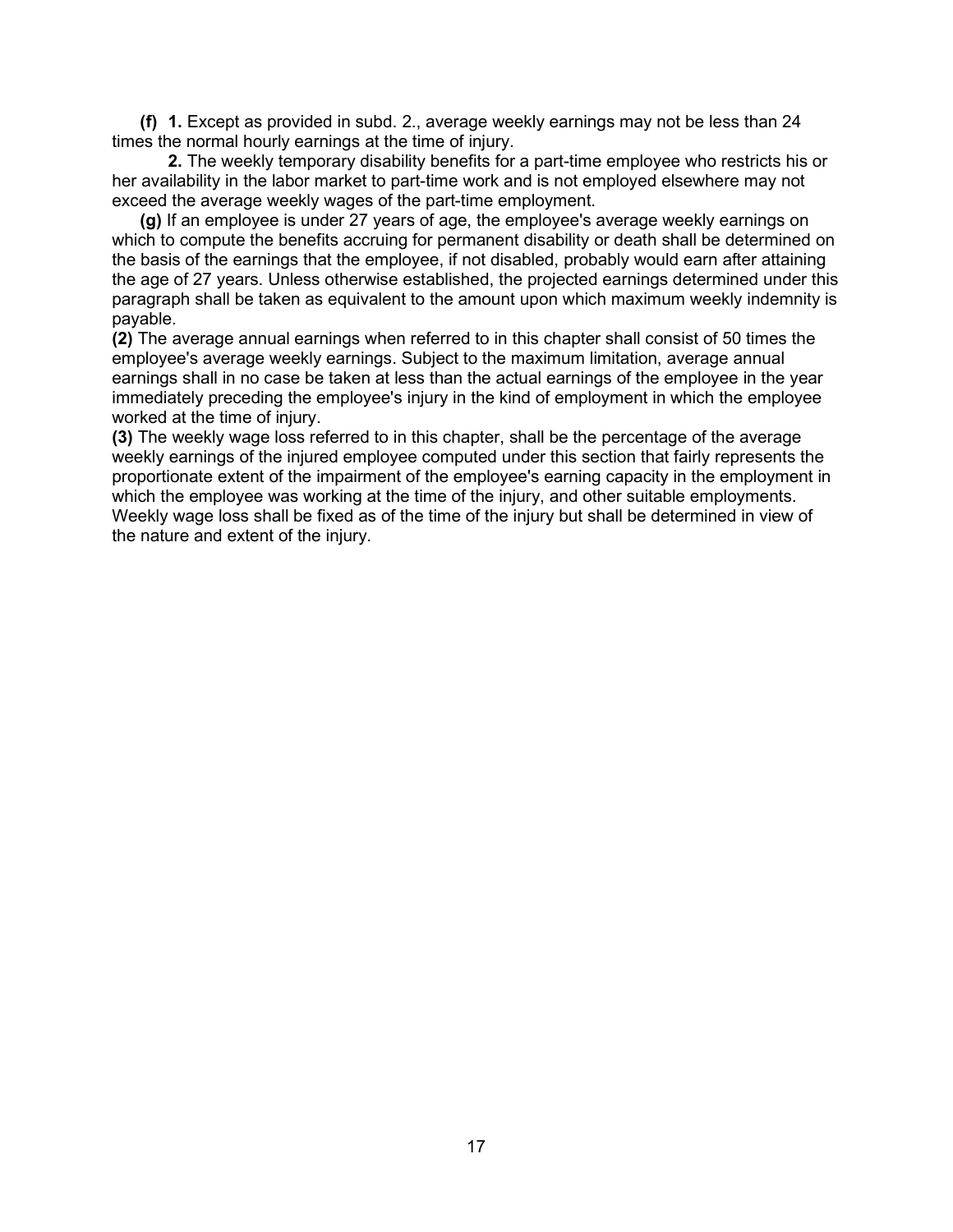(f) 1. Except as provided in subd. 2., average weekly earnings may not be less than 24 times the normal hourly earnings at the time of injury.

 2. The weekly temporary disability benefits for a part-time employee who restricts his or her availability in the labor market to part-time work and is not employed elsewhere may not exceed the average weekly wages of the part-time employment.

 (g) If an employee is under 27 years of age, the employee's average weekly earnings on which to compute the benefits accruing for permanent disability or death shall be determined on the basis of the earnings that the employee, if not disabled, probably would earn after attaining the age of 27 years. Unless otherwise established, the projected earnings determined under this paragraph shall be taken as equivalent to the amount upon which maximum weekly indemnity is payable.

(2) The average annual earnings when referred to in this chapter shall consist of 50 times the employee's average weekly earnings. Subject to the maximum limitation, average annual earnings shall in no case be taken at less than the actual earnings of the employee in the year immediately preceding the employee's injury in the kind of employment in which the employee worked at the time of injury.

(3) The weekly wage loss referred to in this chapter, shall be the percentage of the average weekly earnings of the injured employee computed under this section that fairly represents the proportionate extent of the impairment of the employee's earning capacity in the employment in which the employee was working at the time of the injury, and other suitable employments. Weekly wage loss shall be fixed as of the time of the injury but shall be determined in view of the nature and extent of the injury.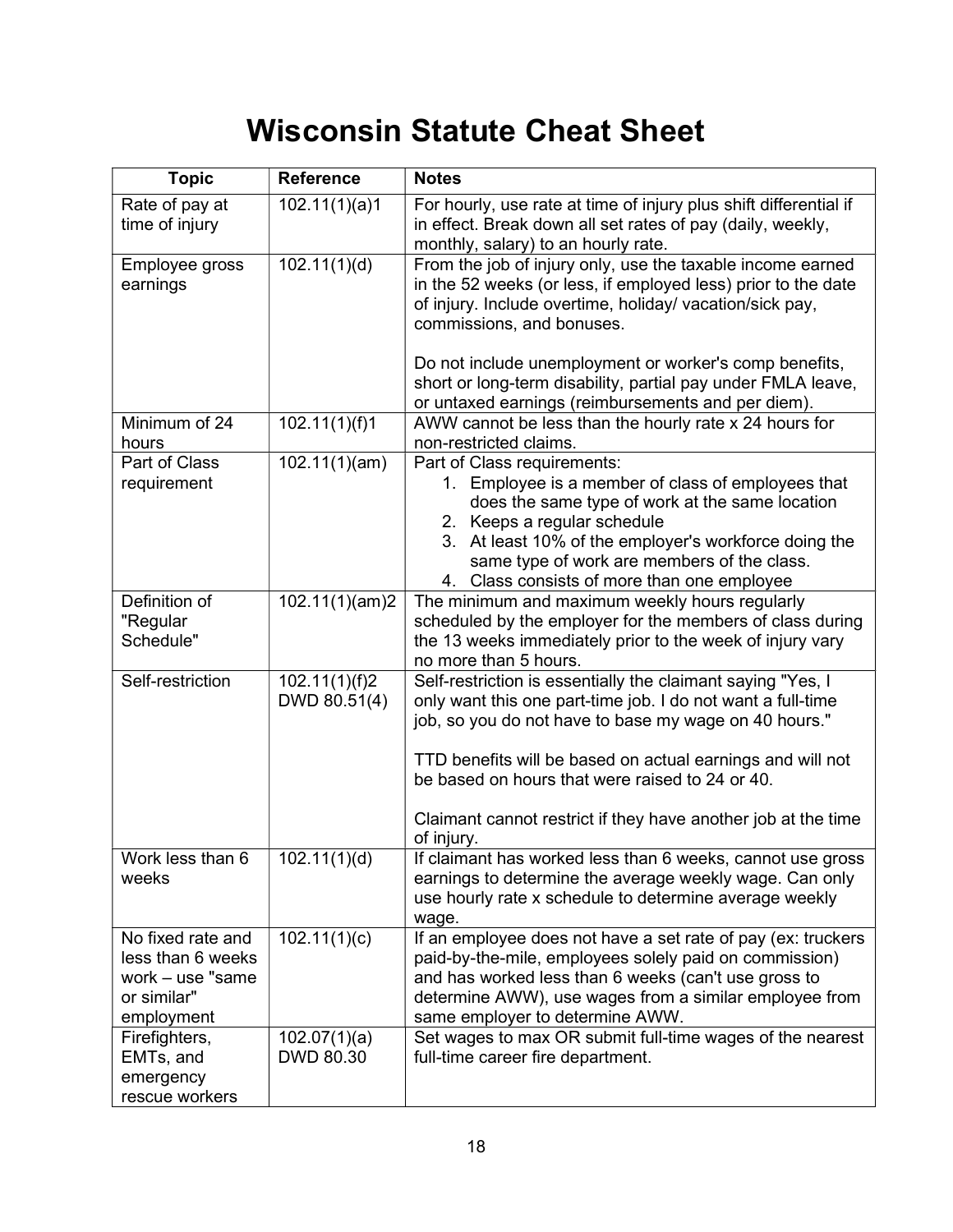# Wisconsin Statute Cheat Sheet

| <b>Topic</b>                                                                               | <b>Reference</b>              | <b>Notes</b>                                                                                                                                                                                                                                                                                                               |
|--------------------------------------------------------------------------------------------|-------------------------------|----------------------------------------------------------------------------------------------------------------------------------------------------------------------------------------------------------------------------------------------------------------------------------------------------------------------------|
| Rate of pay at<br>time of injury                                                           | 102.11(1)(a)1                 | For hourly, use rate at time of injury plus shift differential if<br>in effect. Break down all set rates of pay (daily, weekly,<br>monthly, salary) to an hourly rate.                                                                                                                                                     |
| Employee gross<br>earnings                                                                 | 102.11(1)(d)                  | From the job of injury only, use the taxable income earned<br>in the 52 weeks (or less, if employed less) prior to the date<br>of injury. Include overtime, holiday/ vacation/sick pay,<br>commissions, and bonuses.                                                                                                       |
|                                                                                            |                               | Do not include unemployment or worker's comp benefits,<br>short or long-term disability, partial pay under FMLA leave,<br>or untaxed earnings (reimbursements and per diem).                                                                                                                                               |
| Minimum of 24<br>hours                                                                     | 102.11(1)(f)1                 | AWW cannot be less than the hourly rate x 24 hours for<br>non-restricted claims.                                                                                                                                                                                                                                           |
| Part of Class<br>requirement                                                               | 102.11(1)(am)                 | Part of Class requirements:<br>1. Employee is a member of class of employees that<br>does the same type of work at the same location<br>2. Keeps a regular schedule<br>3. At least 10% of the employer's workforce doing the<br>same type of work are members of the class.<br>4. Class consists of more than one employee |
| Definition of<br>"Regular<br>Schedule"                                                     | 102.11(1)(am)2                | The minimum and maximum weekly hours regularly<br>scheduled by the employer for the members of class during<br>the 13 weeks immediately prior to the week of injury vary<br>no more than 5 hours.                                                                                                                          |
| Self-restriction                                                                           | 102.11(1)(f)2<br>DWD 80.51(4) | Self-restriction is essentially the claimant saying "Yes, I<br>only want this one part-time job. I do not want a full-time<br>job, so you do not have to base my wage on 40 hours."<br>TTD benefits will be based on actual earnings and will not<br>be based on hours that were raised to 24 or 40.                       |
|                                                                                            |                               | Claimant cannot restrict if they have another job at the time<br>of injury.                                                                                                                                                                                                                                                |
| Work less than 6<br>weeks                                                                  | 102.11(1)(d)                  | If claimant has worked less than 6 weeks, cannot use gross<br>earnings to determine the average weekly wage. Can only<br>use hourly rate x schedule to determine average weekly<br>wage.                                                                                                                                   |
| No fixed rate and<br>less than 6 weeks<br>work $-$ use "same"<br>or similar"<br>employment | 102.11(1)(c)                  | If an employee does not have a set rate of pay (ex: truckers<br>paid-by-the-mile, employees solely paid on commission)<br>and has worked less than 6 weeks (can't use gross to<br>determine AWW), use wages from a similar employee from<br>same employer to determine AWW.                                                |
| Firefighters,<br>EMTs, and<br>emergency<br>rescue workers                                  | 102.07(1)(a)<br>DWD 80.30     | Set wages to max OR submit full-time wages of the nearest<br>full-time career fire department.                                                                                                                                                                                                                             |